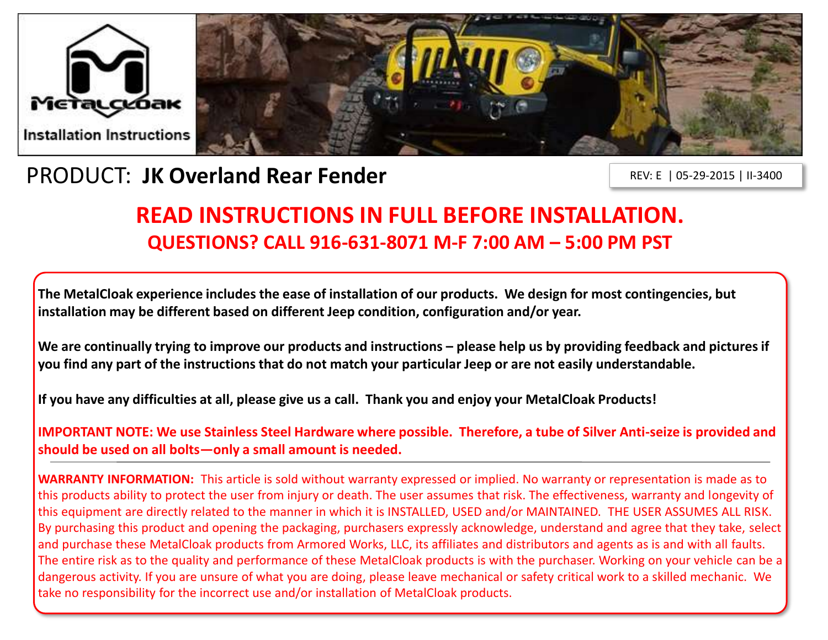

## PRODUCT: **JK Overland Rear Fender**

REV: E | 05-29-2015 | II-3400

# **READ INSTRUCTIONS IN FULL BEFORE INSTALLATION. QUESTIONS? CALL 916-631-8071 M-F 7:00 AM – 5:00 PM PST**

**The MetalCloak experience includes the ease of installation of our products. We design for most contingencies, but installation may be different based on different Jeep condition, configuration and/or year.**

We are continually trying to improve our products and instructions – please help us by providing feedback and pictures if **you find any part of the instructions that do not match your particular Jeep or are not easily understandable.** 

**If you have any difficulties at all, please give us a call. Thank you and enjoy your MetalCloak Products!** 

**IMPORTANT NOTE: We use Stainless Steel Hardware where possible. Therefore, a tube of Silver Anti-seize is provided and should be used on all bolts—only a small amount is needed.**

**WARRANTY INFORMATION:** This article is sold without warranty expressed or implied. No warranty or representation is made as to this products ability to protect the user from injury or death. The user assumes that risk. The effectiveness, warranty and longevity of this equipment are directly related to the manner in which it is INSTALLED, USED and/or MAINTAINED. THE USER ASSUMES ALL RISK. By purchasing this product and opening the packaging, purchasers expressly acknowledge, understand and agree that they take, select and purchase these MetalCloak products from Armored Works, LLC, its affiliates and distributors and agents as is and with all faults. The entire risk as to the quality and performance of these MetalCloak products is with the purchaser. Working on your vehicle can be a dangerous activity. If you are unsure of what you are doing, please leave mechanical or safety critical work to a skilled mechanic. We take no responsibility for the incorrect use and/or installation of MetalCloak products.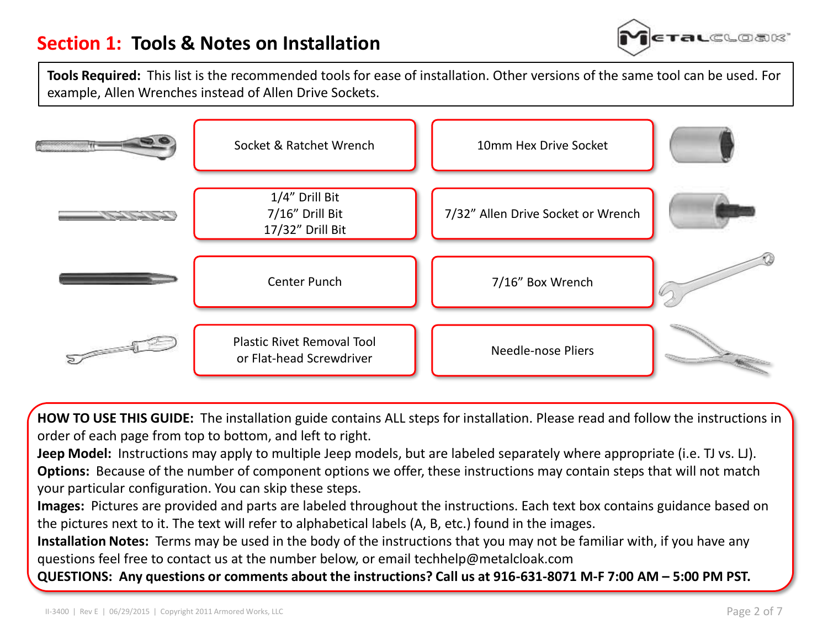

**Tools Required:** This list is the recommended tools for ease of installation. Other versions of the same tool can be used. For example, Allen Wrenches instead of Allen Drive Sockets.



**HOW TO USE THIS GUIDE:** The installation guide contains ALL steps for installation. Please read and follow the instructions in order of each page from top to bottom, and left to right.

**Jeep Model:** Instructions may apply to multiple Jeep models, but are labeled separately where appropriate (i.e. TJ vs. LJ). **Options:** Because of the number of component options we offer, these instructions may contain steps that will not match your particular configuration. You can skip these steps.

**Images:** Pictures are provided and parts are labeled throughout the instructions. Each text box contains guidance based on the pictures next to it. The text will refer to alphabetical labels (A, B, etc.) found in the images.

**Installation Notes:** Terms may be used in the body of the instructions that you may not be familiar with, if you have any questions feel free to contact us at the number below, or email techhelp@metalcloak.com

**QUESTIONS: Any questions or comments about the instructions? Call us at 916-631-8071 M-F 7:00 AM – 5:00 PM PST.**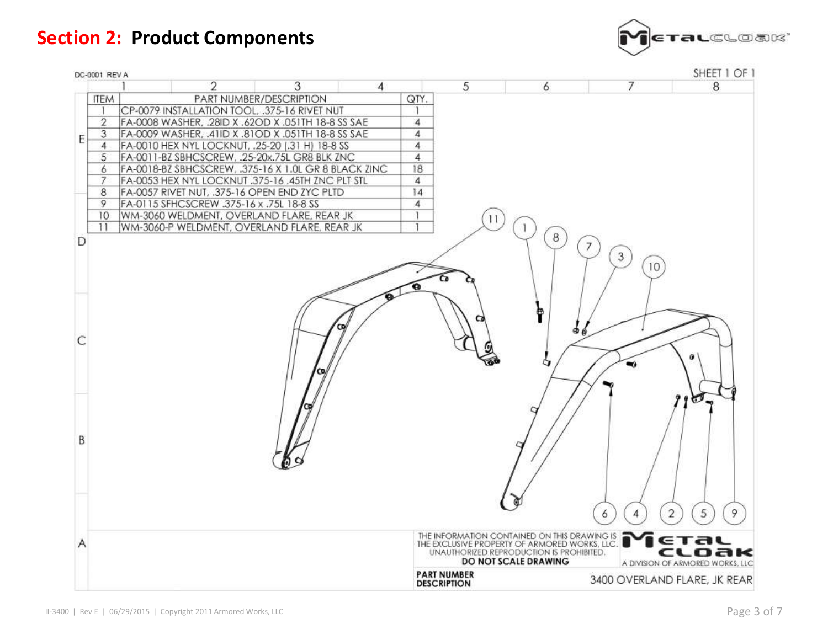## **Section 2: Product Components**



| DC-0001 REV A   |                                                      |                                                                                                       |   |                |                    |                                          |                              | SHEET 1 OF 1                     |
|-----------------|------------------------------------------------------|-------------------------------------------------------------------------------------------------------|---|----------------|--------------------|------------------------------------------|------------------------------|----------------------------------|
|                 | 2                                                    | 3                                                                                                     | 4 |                | 5                  | 6                                        | 7                            | 8                                |
| <b>ITEM</b>     |                                                      | PART NUMBER/DESCRIPTION                                                                               |   | QTY.           |                    |                                          |                              |                                  |
|                 | CP-0079 INSTALLATION TOOL, .375-16 RIVET NUT         |                                                                                                       |   |                |                    |                                          |                              |                                  |
| $\overline{2}$  | FA-0008 WASHER, .28ID X .62OD X .051TH 18-8 SS SAE   |                                                                                                       |   | 4              |                    |                                          |                              |                                  |
| 3<br>E          | FA-0009 WASHER, .41ID X .81OD X .051TH 18-8 SS SAE   |                                                                                                       |   | 4              |                    |                                          |                              |                                  |
| 4               | FA-0010 HEX NYL LOCKNUT, .25-20 (.31 H) 18-8 SS      |                                                                                                       |   | 4              |                    |                                          |                              |                                  |
| 5               | FA-0011-BZ SBHCSCREW, .25-20x.75L GR8 BLK ZNC        |                                                                                                       |   | $\overline{4}$ |                    |                                          |                              |                                  |
| 6               | FA-0018-BZ SBHCSCREW, .375-16 X 1.0L GR 8 BLACK ZINC |                                                                                                       |   | 18             |                    |                                          |                              |                                  |
| 7               | FA-0053 HEX NYL LOCKNUT .375-16 .45TH ZNC PLT STL    |                                                                                                       |   | $\overline{4}$ |                    |                                          |                              |                                  |
| 8               | FA-0057 RIVET NUT, .375-16 OPEN END ZYC PLTD         |                                                                                                       |   | 14             |                    |                                          |                              |                                  |
| 9               | FA-0115 SFHCSCREW .375-16 x .75L 18-8 SS             |                                                                                                       |   | 4              |                    |                                          |                              |                                  |
| 10              | WM-3060 WELDMENT, OVERLAND FLARE, REAR JK            |                                                                                                       |   |                | $\frac{1}{2}$      |                                          |                              |                                  |
| $\overline{11}$ | WM-3060-P WELDMENT, OVERLAND FLARE, REAR JK          |                                                                                                       |   |                |                    |                                          |                              |                                  |
| D               |                                                      |                                                                                                       |   |                |                    | 8                                        | 7                            |                                  |
|                 |                                                      |                                                                                                       |   |                |                    |                                          | $\mathbf{3}$                 |                                  |
|                 |                                                      |                                                                                                       |   |                |                    |                                          | 10                           |                                  |
|                 |                                                      |                                                                                                       |   |                |                    |                                          |                              |                                  |
|                 |                                                      |                                                                                                       |   |                |                    |                                          |                              |                                  |
|                 |                                                      |                                                                                                       |   |                |                    |                                          |                              |                                  |
|                 |                                                      |                                                                                                       |   |                |                    |                                          |                              |                                  |
|                 |                                                      |                                                                                                       |   |                |                    |                                          |                              |                                  |
| C               |                                                      |                                                                                                       |   |                |                    | ഒ                                        |                              |                                  |
|                 |                                                      |                                                                                                       |   |                |                    |                                          |                              |                                  |
|                 |                                                      |                                                                                                       |   |                |                    | a                                        |                              |                                  |
|                 |                                                      |                                                                                                       |   |                |                    |                                          |                              |                                  |
|                 |                                                      |                                                                                                       |   |                |                    |                                          |                              |                                  |
|                 |                                                      |                                                                                                       |   |                |                    |                                          |                              |                                  |
|                 |                                                      |                                                                                                       |   |                |                    |                                          |                              | $\mathbf{C}$                     |
|                 |                                                      |                                                                                                       |   |                |                    |                                          |                              |                                  |
|                 |                                                      |                                                                                                       |   |                |                    |                                          |                              |                                  |
| B               |                                                      |                                                                                                       |   |                |                    |                                          |                              |                                  |
|                 |                                                      |                                                                                                       |   |                |                    |                                          |                              |                                  |
|                 |                                                      |                                                                                                       |   |                |                    |                                          |                              |                                  |
|                 |                                                      |                                                                                                       |   |                |                    |                                          |                              |                                  |
|                 |                                                      |                                                                                                       |   |                |                    |                                          |                              |                                  |
|                 |                                                      |                                                                                                       |   |                |                    |                                          |                              |                                  |
|                 |                                                      |                                                                                                       |   |                |                    |                                          |                              | 9                                |
|                 |                                                      |                                                                                                       |   |                |                    |                                          | 6<br>4                       | $\overline{2}$<br>5              |
|                 |                                                      |                                                                                                       |   |                |                    |                                          |                              |                                  |
| Α               |                                                      | THE INFORMATION CONTAINED ON THIS DRAWING IS<br>THE EXCLUSIVE PROPERTY OF ARMORED WORKS, LLC.<br>ETAL |   |                |                    |                                          |                              |                                  |
|                 |                                                      |                                                                                                       |   |                |                    | UNAUTHORIZED REPRODUCTION IS PROHIBITED. |                              | cloak                            |
|                 |                                                      |                                                                                                       |   |                |                    | <b>DO NOT SCALE DRAWING</b>              |                              | A DIVISION OF ARMORED WORKS, LLC |
|                 |                                                      |                                                                                                       |   |                | <b>PART NUMBER</b> |                                          | 3400 OVERLAND FLARE, JK REAR |                                  |
|                 |                                                      |                                                                                                       |   |                | <b>DESCRIPTION</b> |                                          |                              |                                  |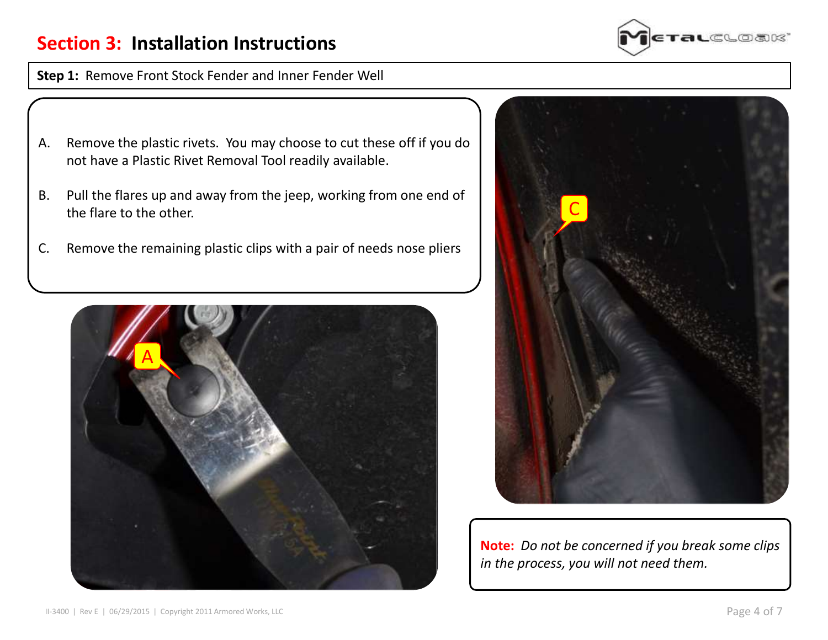### **Section 3: Installation Instructions**

**Step 1:** Remove Front Stock Fender and Inner Fender Well

- A. Remove the plastic rivets. You may choose to cut these off if you do not have a Plastic Rivet Removal Tool readily available.
- B. Pull the flares up and away from the jeep, working from one end of the flare to the other.
- C. Remove the remaining plastic clips with a pair of needs nose pliers







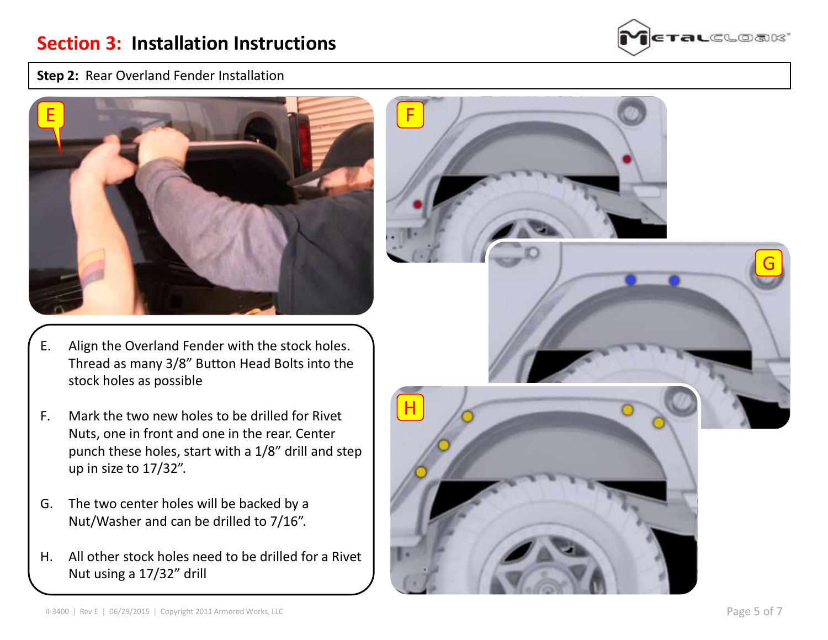

### **Step 2:** Rear Overland Fender Installation



- E. Align the Overland Fender with the stock holes. Thread as many 3/8" Button Head Bolts into the stock holes as possible
- F. Mark the two new holes to be drilled for Rivet Nuts, one in front and one in the rear. Center punch these holes, start with a 1/8" drill and step up in size to 17/32".
- G. The two center holes will be backed by a Nut/Washer and can be drilled to 7/16".
- H. All other stock holes need to be drilled for a Rivet Nut using a 17/32" drill

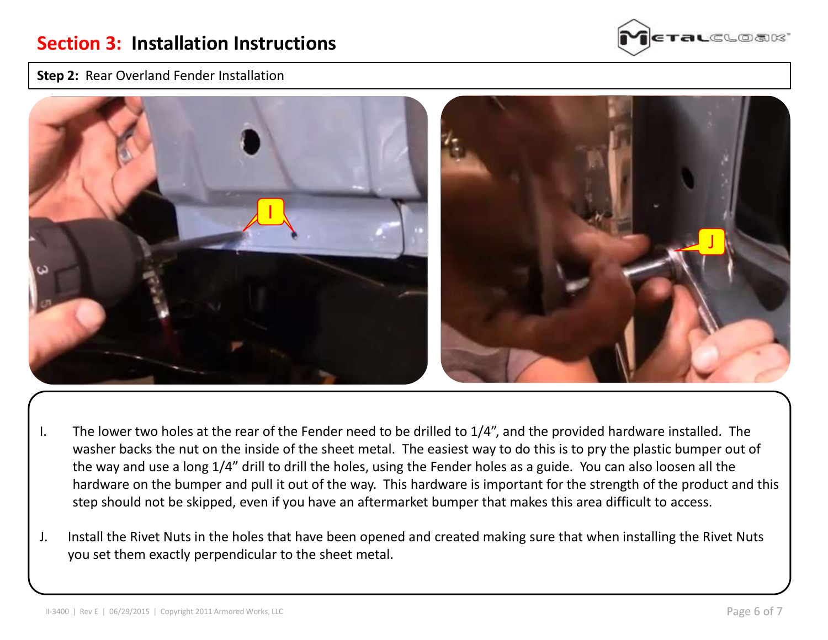### **Step 2:** Rear Overland Fender Installation





- I. The lower two holes at the rear of the Fender need to be drilled to 1/4", and the provided hardware installed. The washer backs the nut on the inside of the sheet metal. The easiest way to do this is to pry the plastic bumper out of the way and use a long 1/4" drill to drill the holes, using the Fender holes as a guide. You can also loosen all the hardware on the bumper and pull it out of the way. This hardware is important for the strength of the product and this step should not be skipped, even if you have an aftermarket bumper that makes this area difficult to access.
- J. Install the Rivet Nuts in the holes that have been opened and created making sure that when installing the Rivet Nuts you set them exactly perpendicular to the sheet metal.